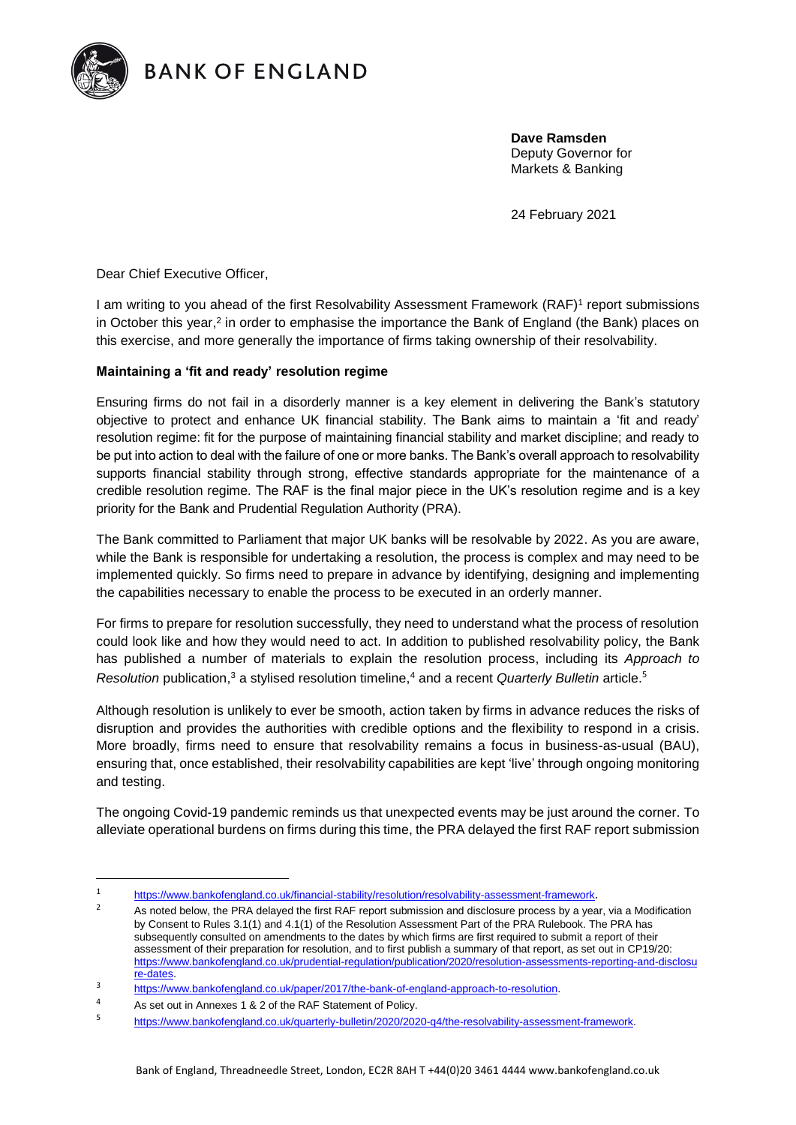

**.** 

**BANK OF ENGLAND** 

**Dave Ramsden** Deputy Governor for Markets & Banking

24 February 2021

Dear Chief Executive Officer,

I am writing to you ahead of the first Resolvability Assessment Framework (RAF)<sup>1</sup> report submissions in October this year,<sup>2</sup> in order to emphasise the importance the Bank of England (the Bank) places on this exercise, and more generally the importance of firms taking ownership of their resolvability.

## **Maintaining a 'fit and ready' resolution regime**

Ensuring firms do not fail in a disorderly manner is a key element in delivering the Bank's statutory objective to protect and enhance UK financial stability. The Bank aims to maintain a 'fit and ready' resolution regime: fit for the purpose of maintaining financial stability and market discipline; and ready to be put into action to deal with the failure of one or more banks. The Bank's overall approach to resolvability supports financial stability through strong, effective standards appropriate for the maintenance of a credible resolution regime. The RAF is the final major piece in the UK's resolution regime and is a key priority for the Bank and Prudential Regulation Authority (PRA).

The Bank committed to Parliament that major UK banks will be resolvable by 2022. As you are aware, while the Bank is responsible for undertaking a resolution, the process is complex and may need to be implemented quickly. So firms need to prepare in advance by identifying, designing and implementing the capabilities necessary to enable the process to be executed in an orderly manner.

For firms to prepare for resolution successfully, they need to understand what the process of resolution could look like and how they would need to act. In addition to published resolvability policy, the Bank has published a number of materials to explain the resolution process, including its *Approach to*  Resolution publication,<sup>3</sup> a stylised resolution timeline,<sup>4</sup> and a recent *Quarterly Bulletin* article.<sup>5</sup>

Although resolution is unlikely to ever be smooth, action taken by firms in advance reduces the risks of disruption and provides the authorities with credible options and the flexibility to respond in a crisis. More broadly, firms need to ensure that resolvability remains a focus in business-as-usual (BAU), ensuring that, once established, their resolvability capabilities are kept 'live' through ongoing monitoring and testing.

The ongoing Covid-19 pandemic reminds us that unexpected events may be just around the corner. To alleviate operational burdens on firms during this time, the PRA delayed the first RAF report submission

<sup>1</sup> <https://www.bankofengland.co.uk/financial-stability/resolution/resolvability-assessment-framework>.

<sup>&</sup>lt;sup>2</sup> As noted below, the PRA delayed the first RAF report submission and disclosure process by a year, via a Modification by Consent to Rules 3.1(1) and 4.1(1) of the Resolution Assessment Part of the PRA Rulebook. The PRA has subsequently consulted on amendments to the dates by which firms are first required to submit a report of their assessment of their preparation for resolution, and to first publish a summary of that report, as set out in CP19/20: [https://www.bankofengland.co.uk/prudential-regulation/publication/2020/resolution-assessments-reporting-and-disclosu](https://www.bankofengland.co.uk/prudential%20regulation/publication/2020/resolution%20assessments%20reporting%20and%20disclosure%20dates) [re-dates.](https://www.bankofengland.co.uk/prudential%20regulation/publication/2020/resolution%20assessments%20reporting%20and%20disclosure%20dates)

<sup>3</sup> [https://www.bankofengland.co.uk/paper/2017/the-bank-of-england-approach-to-resolution.](https://www.bankofengland.co.uk/paper/2017/the-bank-of-england-approach-to-resolution)

<sup>4</sup> As set out in Annexes 1 & 2 of the RAF Statement of Policy.

<sup>5</sup> [https://www.bankofengland.co.uk/quarterly-bulletin/2020/2020-q4/the-resolvability-assessment-framework.](https://www.bankofengland.co.uk/quarterly-bulletin/2020/2020-q4/the-resolvability-assessment-framework)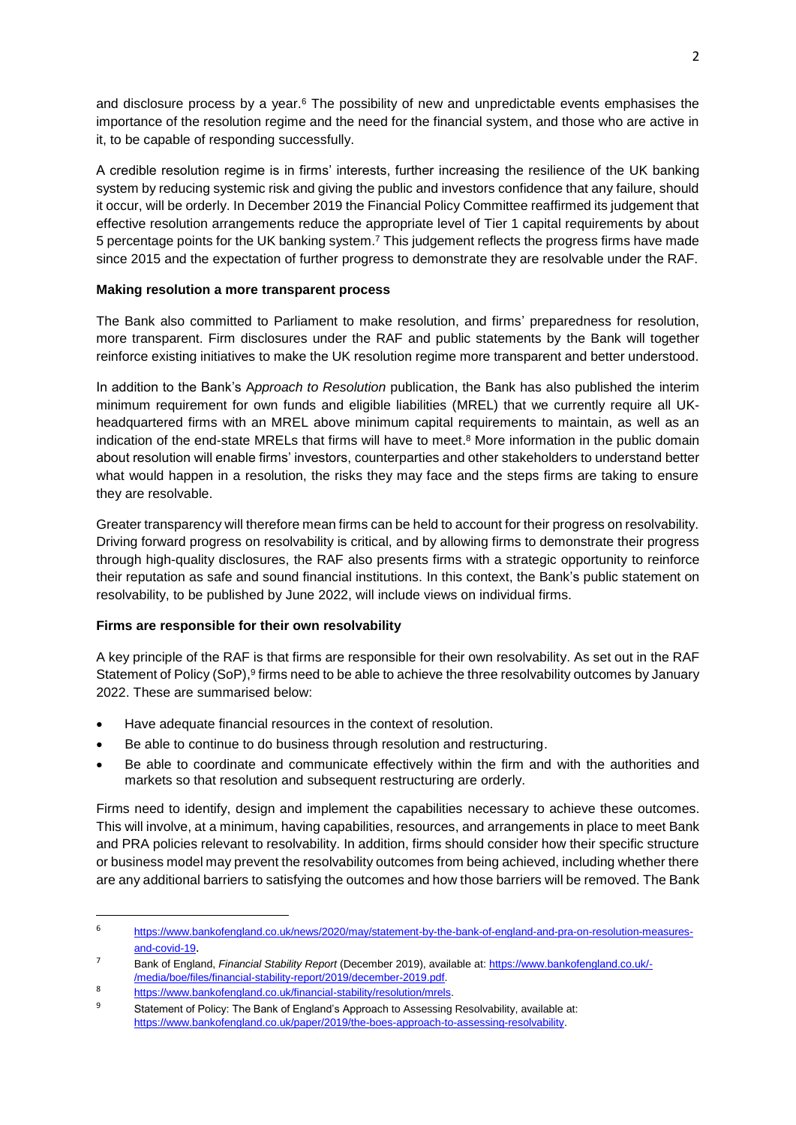and disclosure process by a year.<sup>6</sup> The possibility of new and unpredictable events emphasises the importance of the resolution regime and the need for the financial system, and those who are active in it, to be capable of responding successfully.

A credible resolution regime is in firms' interests, further increasing the resilience of the UK banking system by reducing systemic risk and giving the public and investors confidence that any failure, should it occur, will be orderly. In December 2019 the Financial Policy Committee reaffirmed its judgement that effective resolution arrangements reduce the appropriate level of Tier 1 capital requirements by about 5 percentage points for the UK banking system.<sup>7</sup> This judgement reflects the progress firms have made since 2015 and the expectation of further progress to demonstrate they are resolvable under the RAF.

## **Making resolution a more transparent process**

The Bank also committed to Parliament to make resolution, and firms' preparedness for resolution, more transparent. Firm disclosures under the RAF and public statements by the Bank will together reinforce existing initiatives to make the UK resolution regime more transparent and better understood.

In addition to the Bank's A*pproach to Resolution* publication, the Bank has also published the interim minimum requirement for own funds and eligible liabilities (MREL) that we currently require all UKheadquartered firms with an MREL above minimum capital requirements to maintain, as well as an indication of the end-state MRELs that firms will have to meet. <sup>8</sup> More information in the public domain about resolution will enable firms' investors, counterparties and other stakeholders to understand better what would happen in a resolution, the risks they may face and the steps firms are taking to ensure they are resolvable.

Greater transparency will therefore mean firms can be held to account for their progress on resolvability. Driving forward progress on resolvability is critical, and by allowing firms to demonstrate their progress through high-quality disclosures, the RAF also presents firms with a strategic opportunity to reinforce their reputation as safe and sound financial institutions. In this context, the Bank's public statement on resolvability, to be published by June 2022, will include views on individual firms.

# **Firms are responsible for their own resolvability**

A key principle of the RAF is that firms are responsible for their own resolvability. As set out in the RAF Statement of Policy (SoP),<sup>9</sup> firms need to be able to achieve the three resolvability outcomes by January 2022. These are summarised below:

- Have adequate financial resources in the context of resolution.
- Be able to continue to do business through resolution and restructuring.
- Be able to coordinate and communicate effectively within the firm and with the authorities and markets so that resolution and subsequent restructuring are orderly.

Firms need to identify, design and implement the capabilities necessary to achieve these outcomes. This will involve, at a minimum, having capabilities, resources, and arrangements in place to meet Bank and PRA policies relevant to resolvability. In addition, firms should consider how their specific structure or business model may prevent the resolvability outcomes from being achieved, including whether there are any additional barriers to satisfying the outcomes and how those barriers will be removed. The Bank

**.** 

<sup>6</sup> [https://www.bankofengland.co.uk/news/2020/may/statement-by-the-bank-of-england-and-pra-on-resolution-measures](https://www.bankofengland.co.uk/news/2020/may/statement-by-the-bank-of-england-and-pra-on-resolution-measures-and-covid-19)[and-covid-19](https://www.bankofengland.co.uk/news/2020/may/statement-by-the-bank-of-england-and-pra-on-resolution-measures-and-covid-19).

<sup>7</sup> Bank of England, *Financial Stability Report* (December 2019), available at: [https://www.bankofengland.co.uk/-](https://www.bankofengland.co.uk/-/media/boe/files/financial-stability-report/2019/december-2019.pdf) [/media/boe/files/financial-stability-report/2019/december-2019.pdf.](https://www.bankofengland.co.uk/-/media/boe/files/financial-stability-report/2019/december-2019.pdf)

<sup>8</sup> [https://www.bankofengland.co.uk/financial-stability/resolution/mrels.](https://www.bankofengland.co.uk/financial-stability/resolution/mrels)

<sup>&</sup>lt;sup>9</sup> Statement of Policy: The Bank of England's Approach to Assessing Resolvability, available at: [https://www.bankofengland.co.uk/paper/2019/the-boes-approach-to-assessing-resolvability.](https://www.bankofengland.co.uk/paper/2019/the-boes-approach-to-assessing-resolvability)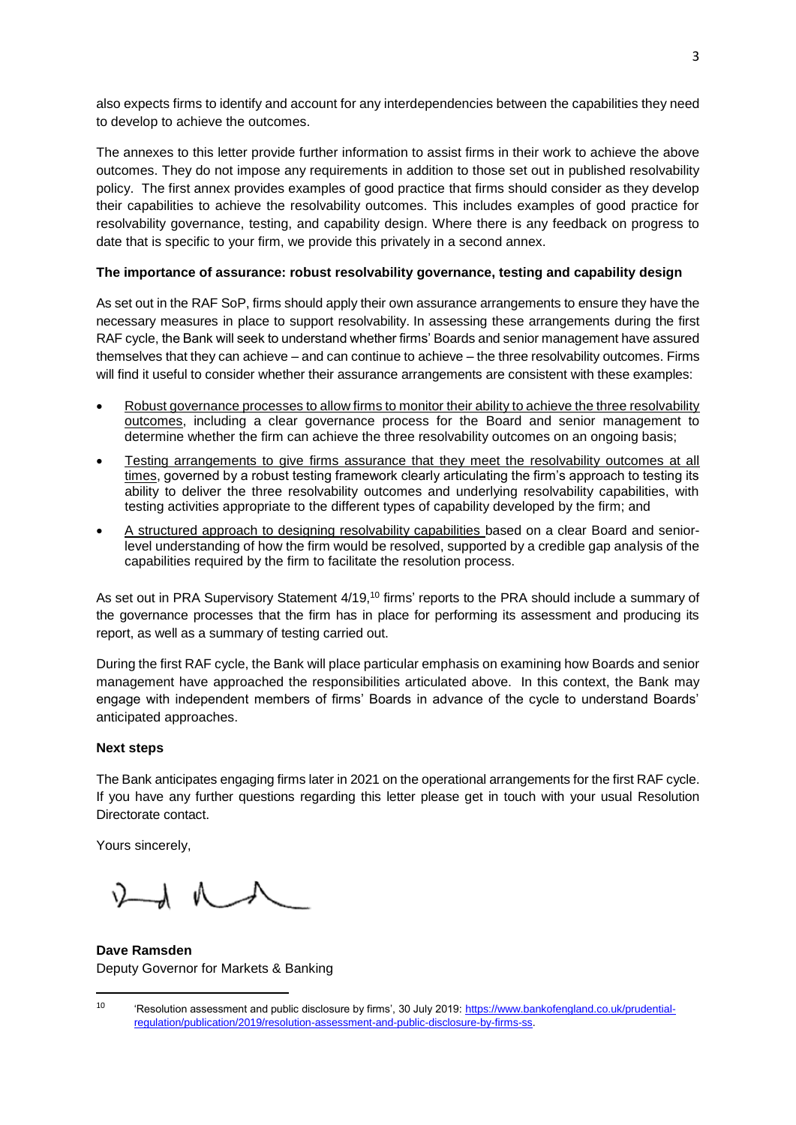also expects firms to identify and account for any interdependencies between the capabilities they need to develop to achieve the outcomes.

The annexes to this letter provide further information to assist firms in their work to achieve the above outcomes. They do not impose any requirements in addition to those set out in published resolvability policy. The first annex provides examples of good practice that firms should consider as they develop their capabilities to achieve the resolvability outcomes. This includes examples of good practice for resolvability governance, testing, and capability design. Where there is any feedback on progress to date that is specific to your firm, we provide this privately in a second annex.

## **The importance of assurance: robust resolvability governance, testing and capability design**

As set out in the RAF SoP, firms should apply their own assurance arrangements to ensure they have the necessary measures in place to support resolvability. In assessing these arrangements during the first RAF cycle, the Bank will seek to understand whether firms' Boards and senior management have assured themselves that they can achieve – and can continue to achieve – the three resolvability outcomes. Firms will find it useful to consider whether their assurance arrangements are consistent with these examples:

- Robust governance processes to allow firms to monitor their ability to achieve the three resolvability outcomes, including a clear governance process for the Board and senior management to determine whether the firm can achieve the three resolvability outcomes on an ongoing basis;
- Testing arrangements to give firms assurance that they meet the resolvability outcomes at all times, governed by a robust testing framework clearly articulating the firm's approach to testing its ability to deliver the three resolvability outcomes and underlying resolvability capabilities, with testing activities appropriate to the different types of capability developed by the firm; and
- A structured approach to designing resolvability capabilities based on a clear Board and seniorlevel understanding of how the firm would be resolved, supported by a credible gap analysis of the capabilities required by the firm to facilitate the resolution process.

As set out in PRA Supervisory Statement 4/19,<sup>10</sup> firms' reports to the PRA should include a summary of the governance processes that the firm has in place for performing its assessment and producing its report, as well as a summary of testing carried out.

During the first RAF cycle, the Bank will place particular emphasis on examining how Boards and senior management have approached the responsibilities articulated above. In this context, the Bank may engage with independent members of firms' Boards in advance of the cycle to understand Boards' anticipated approaches.

## **Next steps**

The Bank anticipates engaging firms later in 2021 on the operational arrangements for the first RAF cycle. If you have any further questions regarding this letter please get in touch with your usual Resolution Directorate contact.

Yours sincerely,

1

 $\Lambda$   $\Lambda$   $\Lambda$ 

**Dave Ramsden** Deputy Governor for Markets & Banking

<sup>&</sup>lt;sup>10</sup> 'Resolution assessment and public disclosure by firms', 30 July 2019: [https://www.bankofengland.co.uk/prudential](https://www.bankofengland.co.uk/prudential-regulation/publication/2019/resolution-assessment-and-public-disclosure-by-firms-ss)[regulation/publication/2019/resolution-assessment-and-public-disclosure-by-firms-ss.](https://www.bankofengland.co.uk/prudential-regulation/publication/2019/resolution-assessment-and-public-disclosure-by-firms-ss)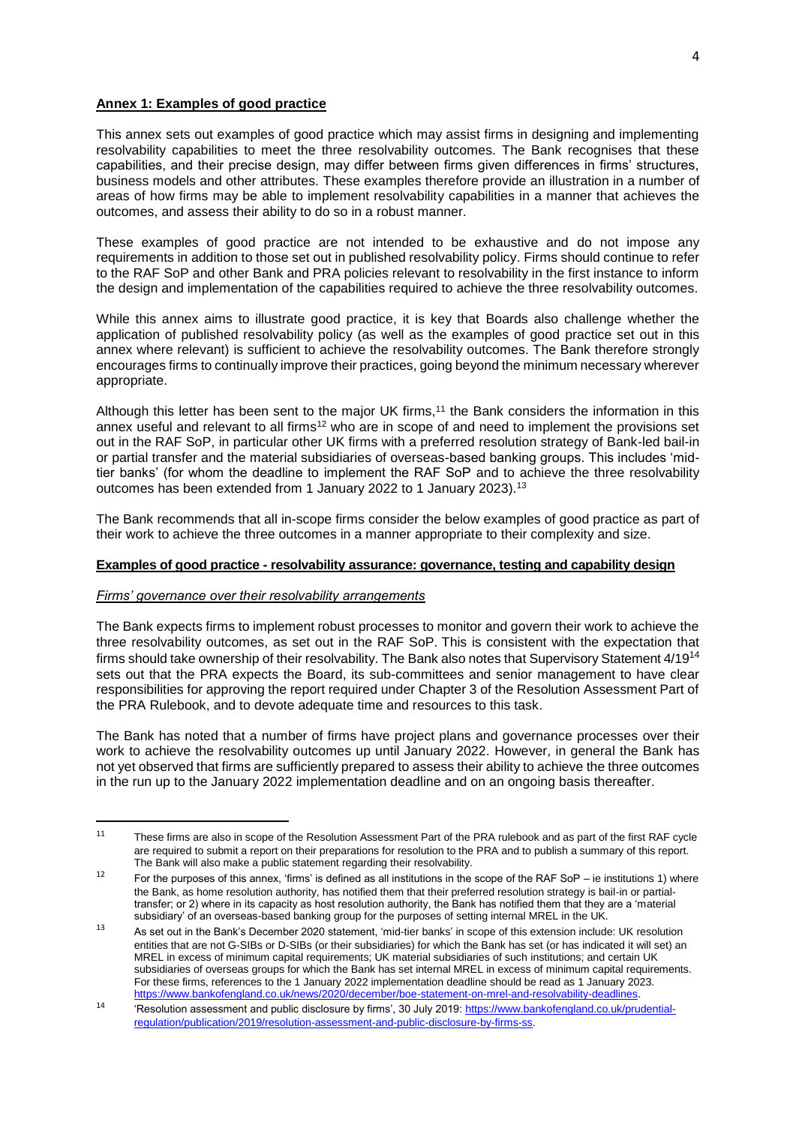## **Annex 1: Examples of good practice**

This annex sets out examples of good practice which may assist firms in designing and implementing resolvability capabilities to meet the three resolvability outcomes. The Bank recognises that these capabilities, and their precise design, may differ between firms given differences in firms' structures, business models and other attributes. These examples therefore provide an illustration in a number of areas of how firms may be able to implement resolvability capabilities in a manner that achieves the outcomes, and assess their ability to do so in a robust manner.

These examples of good practice are not intended to be exhaustive and do not impose any requirements in addition to those set out in published resolvability policy. Firms should continue to refer to the RAF SoP and other Bank and PRA policies relevant to resolvability in the first instance to inform the design and implementation of the capabilities required to achieve the three resolvability outcomes.

While this annex aims to illustrate good practice, it is key that Boards also challenge whether the application of published resolvability policy (as well as the examples of good practice set out in this annex where relevant) is sufficient to achieve the resolvability outcomes. The Bank therefore strongly encourages firms to continually improve their practices, going beyond the minimum necessary wherever appropriate.

Although this letter has been sent to the major UK firms,<sup>11</sup> the Bank considers the information in this annex useful and relevant to all firms<sup>12</sup> who are in scope of and need to implement the provisions set out in the RAF SoP, in particular other UK firms with a preferred resolution strategy of Bank-led bail-in or partial transfer and the material subsidiaries of overseas-based banking groups. This includes 'midtier banks' (for whom the deadline to implement the RAF SoP and to achieve the three resolvability outcomes has been extended from 1 January 2022 to 1 January 2023).<sup>13</sup>

The Bank recommends that all in-scope firms consider the below examples of good practice as part of their work to achieve the three outcomes in a manner appropriate to their complexity and size.

### **Examples of good practice - resolvability assurance: governance, testing and capability design**

#### *Firms' governance over their resolvability arrangements*

The Bank expects firms to implement robust processes to monitor and govern their work to achieve the three resolvability outcomes, as set out in the RAF SoP. This is consistent with the expectation that firms should take ownership of their resolvability. The Bank also notes that Supervisory Statement 4/19<sup>14</sup> sets out that the PRA expects the Board, its sub-committees and senior management to have clear responsibilities for approving the report required under Chapter 3 of the Resolution Assessment Part of the PRA Rulebook, and to devote adequate time and resources to this task.

The Bank has noted that a number of firms have project plans and governance processes over their work to achieve the resolvability outcomes up until January 2022. However, in general the Bank has not yet observed that firms are sufficiently prepared to assess their ability to achieve the three outcomes in the run up to the January 2022 implementation deadline and on an ongoing basis thereafter.

 $11$ These firms are also in scope of the Resolution Assessment Part of the PRA rulebook and as part of the first RAF cycle are required to submit a report on their preparations for resolution to the PRA and to publish a summary of this report. The Bank will also make a public statement regarding their resolvability.

<sup>&</sup>lt;sup>12</sup> For the purposes of this annex, 'firms' is defined as all institutions in the scope of the RAF SoP – ie institutions 1) where the Bank, as home resolution authority, has notified them that their preferred resolution strategy is bail-in or partialtransfer; or 2) where in its capacity as host resolution authority, the Bank has notified them that they are a 'material subsidiary' of an overseas-based banking group for the purposes of setting internal MREL in the UK.

<sup>13</sup> As set out in the Bank's December 2020 statement, 'mid-tier banks' in scope of this extension include: UK resolution entities that are not G-SIBs or D-SIBs (or their subsidiaries) for which the Bank has set (or has indicated it will set) an MREL in excess of minimum capital requirements; UK material subsidiaries of such institutions; and certain UK subsidiaries of overseas groups for which the Bank has set internal MREL in excess of minimum capital requirements. For these firms, references to the 1 January 2022 implementation deadline should be read as 1 January 2023. [https://www.bankofengland.co.uk/news/2020/december/boe-statement-on-mrel-and-resolvability-deadlines.](https://www.bankofengland.co.uk/news/2020/december/boe-statement-on-mrel-and-resolvability-deadlines)

<sup>14</sup> 'Resolution assessment and public disclosure by firms', 30 July 2019: [https://www.bankofengland.co.uk/prudential](https://www.bankofengland.co.uk/prudential-regulation/publication/2019/resolution-assessment-and-public-disclosure-by-firms-ss)[regulation/publication/2019/resolution-assessment-and-public-disclosure-by-firms-ss.](https://www.bankofengland.co.uk/prudential-regulation/publication/2019/resolution-assessment-and-public-disclosure-by-firms-ss)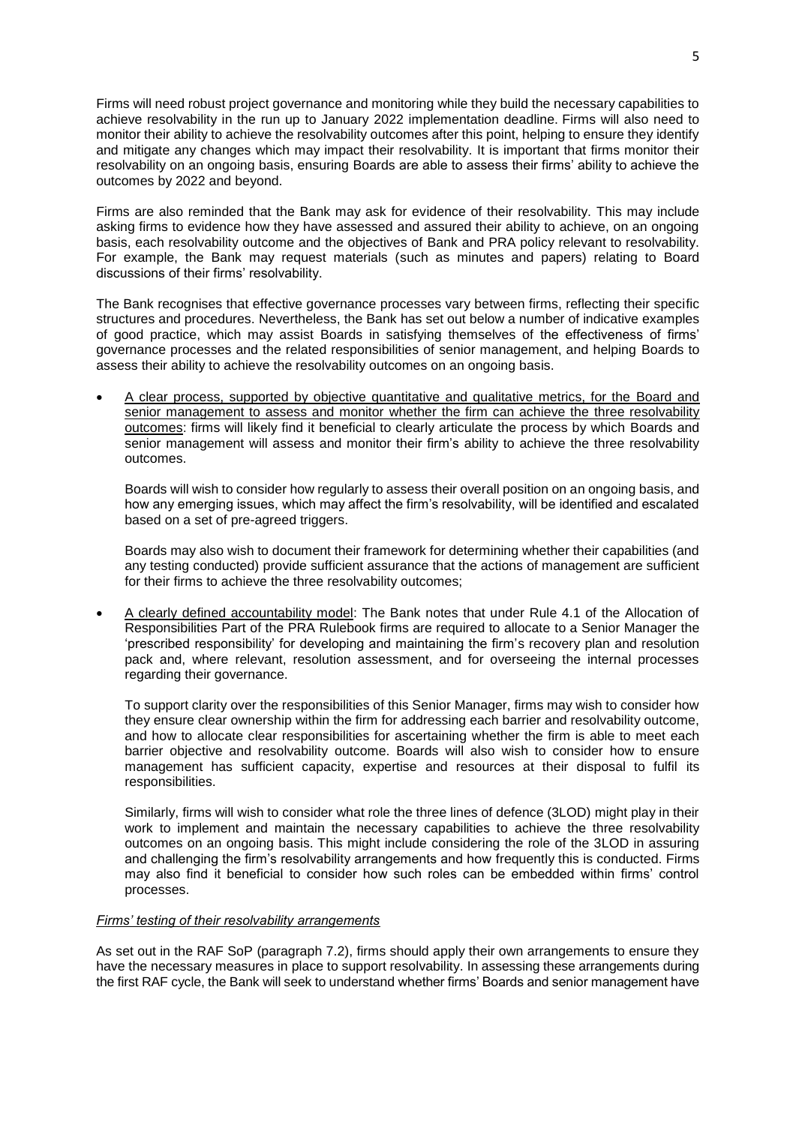Firms will need robust project governance and monitoring while they build the necessary capabilities to achieve resolvability in the run up to January 2022 implementation deadline. Firms will also need to monitor their ability to achieve the resolvability outcomes after this point, helping to ensure they identify and mitigate any changes which may impact their resolvability. It is important that firms monitor their resolvability on an ongoing basis, ensuring Boards are able to assess their firms' ability to achieve the outcomes by 2022 and beyond.

Firms are also reminded that the Bank may ask for evidence of their resolvability. This may include asking firms to evidence how they have assessed and assured their ability to achieve, on an ongoing basis, each resolvability outcome and the objectives of Bank and PRA policy relevant to resolvability. For example, the Bank may request materials (such as minutes and papers) relating to Board discussions of their firms' resolvability.

The Bank recognises that effective governance processes vary between firms, reflecting their specific structures and procedures. Nevertheless, the Bank has set out below a number of indicative examples of good practice, which may assist Boards in satisfying themselves of the effectiveness of firms' governance processes and the related responsibilities of senior management, and helping Boards to assess their ability to achieve the resolvability outcomes on an ongoing basis.

 A clear process, supported by objective quantitative and qualitative metrics, for the Board and senior management to assess and monitor whether the firm can achieve the three resolvability outcomes: firms will likely find it beneficial to clearly articulate the process by which Boards and senior management will assess and monitor their firm's ability to achieve the three resolvability outcomes.

Boards will wish to consider how regularly to assess their overall position on an ongoing basis, and how any emerging issues, which may affect the firm's resolvability, will be identified and escalated based on a set of pre-agreed triggers.

Boards may also wish to document their framework for determining whether their capabilities (and any testing conducted) provide sufficient assurance that the actions of management are sufficient for their firms to achieve the three resolvability outcomes;

 A clearly defined accountability model: The Bank notes that under Rule 4.1 of the Allocation of Responsibilities Part of the PRA Rulebook firms are required to allocate to a Senior Manager the 'prescribed responsibility' for developing and maintaining the firm's recovery plan and resolution pack and, where relevant, resolution assessment, and for overseeing the internal processes regarding their governance.

To support clarity over the responsibilities of this Senior Manager, firms may wish to consider how they ensure clear ownership within the firm for addressing each barrier and resolvability outcome, and how to allocate clear responsibilities for ascertaining whether the firm is able to meet each barrier objective and resolvability outcome. Boards will also wish to consider how to ensure management has sufficient capacity, expertise and resources at their disposal to fulfil its responsibilities.

Similarly, firms will wish to consider what role the three lines of defence (3LOD) might play in their work to implement and maintain the necessary capabilities to achieve the three resolvability outcomes on an ongoing basis. This might include considering the role of the 3LOD in assuring and challenging the firm's resolvability arrangements and how frequently this is conducted. Firms may also find it beneficial to consider how such roles can be embedded within firms' control processes.

### *Firms' testing of their resolvability arrangements*

As set out in the RAF SoP (paragraph 7.2), firms should apply their own arrangements to ensure they have the necessary measures in place to support resolvability. In assessing these arrangements during the first RAF cycle, the Bank will seek to understand whether firms' Boards and senior management have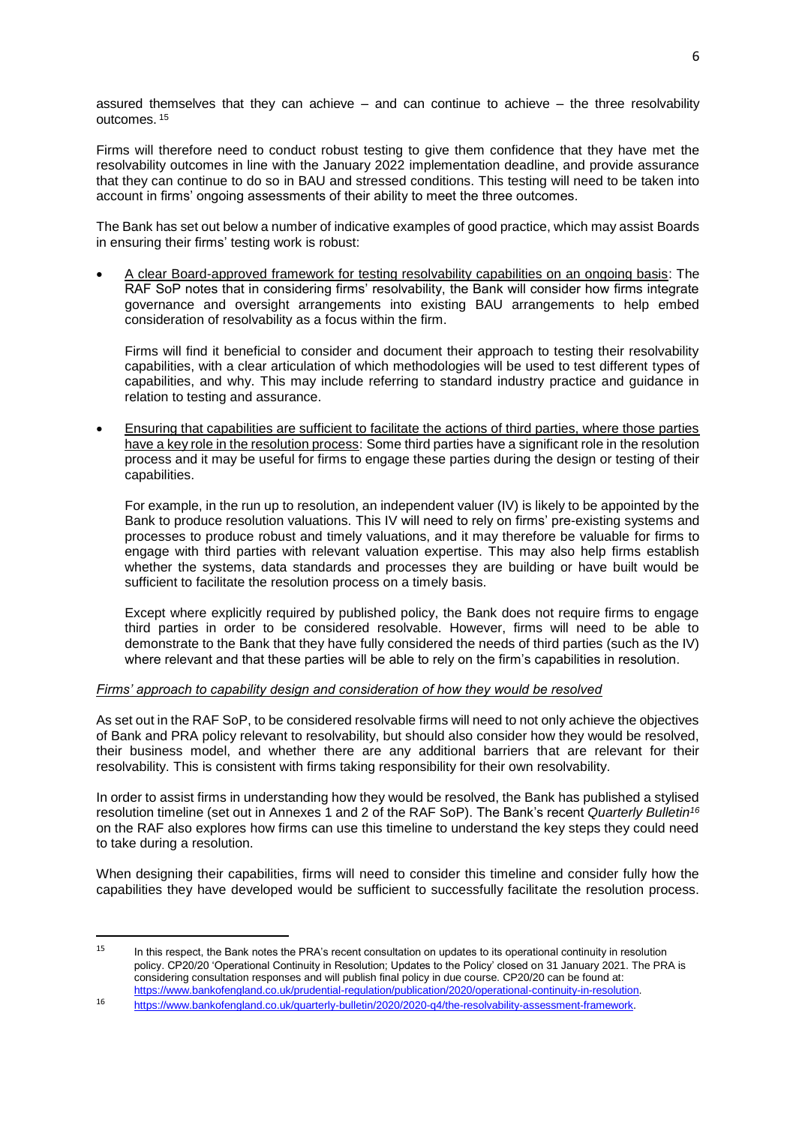assured themselves that they can achieve – and can continue to achieve – the three resolvability outcomes. 15

Firms will therefore need to conduct robust testing to give them confidence that they have met the resolvability outcomes in line with the January 2022 implementation deadline, and provide assurance that they can continue to do so in BAU and stressed conditions. This testing will need to be taken into account in firms' ongoing assessments of their ability to meet the three outcomes.

The Bank has set out below a number of indicative examples of good practice, which may assist Boards in ensuring their firms' testing work is robust:

 A clear Board-approved framework for testing resolvability capabilities on an ongoing basis: The RAF SoP notes that in considering firms' resolvability, the Bank will consider how firms integrate governance and oversight arrangements into existing BAU arrangements to help embed consideration of resolvability as a focus within the firm.

Firms will find it beneficial to consider and document their approach to testing their resolvability capabilities, with a clear articulation of which methodologies will be used to test different types of capabilities, and why. This may include referring to standard industry practice and guidance in relation to testing and assurance.

 Ensuring that capabilities are sufficient to facilitate the actions of third parties, where those parties have a key role in the resolution process: Some third parties have a significant role in the resolution process and it may be useful for firms to engage these parties during the design or testing of their capabilities.

For example, in the run up to resolution, an independent valuer (IV) is likely to be appointed by the Bank to produce resolution valuations. This IV will need to rely on firms' pre-existing systems and processes to produce robust and timely valuations, and it may therefore be valuable for firms to engage with third parties with relevant valuation expertise. This may also help firms establish whether the systems, data standards and processes they are building or have built would be sufficient to facilitate the resolution process on a timely basis.

Except where explicitly required by published policy, the Bank does not require firms to engage third parties in order to be considered resolvable. However, firms will need to be able to demonstrate to the Bank that they have fully considered the needs of third parties (such as the IV) where relevant and that these parties will be able to rely on the firm's capabilities in resolution.

## *Firms' approach to capability design and consideration of how they would be resolved*

As set out in the RAF SoP, to be considered resolvable firms will need to not only achieve the objectives of Bank and PRA policy relevant to resolvability, but should also consider how they would be resolved, their business model, and whether there are any additional barriers that are relevant for their resolvability. This is consistent with firms taking responsibility for their own resolvability.

In order to assist firms in understanding how they would be resolved, the Bank has published a stylised resolution timeline (set out in Annexes 1 and 2 of the RAF SoP). The Bank's recent *Quarterly Bulletin<sup>16</sup>* on the RAF also explores how firms can use this timeline to understand the key steps they could need to take during a resolution.

When designing their capabilities, firms will need to consider this timeline and consider fully how the capabilities they have developed would be sufficient to successfully facilitate the resolution process.

 $\overline{\phantom{a}}$ 

<sup>&</sup>lt;sup>15</sup> In this respect, the Bank notes the PRA's recent consultation on updates to its operational continuity in resolution policy. CP20/20 'Operational Continuity in Resolution; Updates to the Policy' closed on 31 January 2021. The PRA is considering consultation responses and will publish final policy in due course. CP20/20 can be found at: [https://www.bankofengland.co.uk/prudential-regulation/publication/2020/operational-continuity-in-resolution.](https://www.bankofengland.co.uk/prudential-regulation/publication/2020/operational-continuity-in-resolution)

<sup>16</sup> [https://www.bankofengland.co.uk/quarterly-bulletin/2020/2020-q4/the-resolvability-assessment-framework.](https://www.bankofengland.co.uk/quarterly-bulletin/2020/2020-q4/the-resolvability-assessment-framework)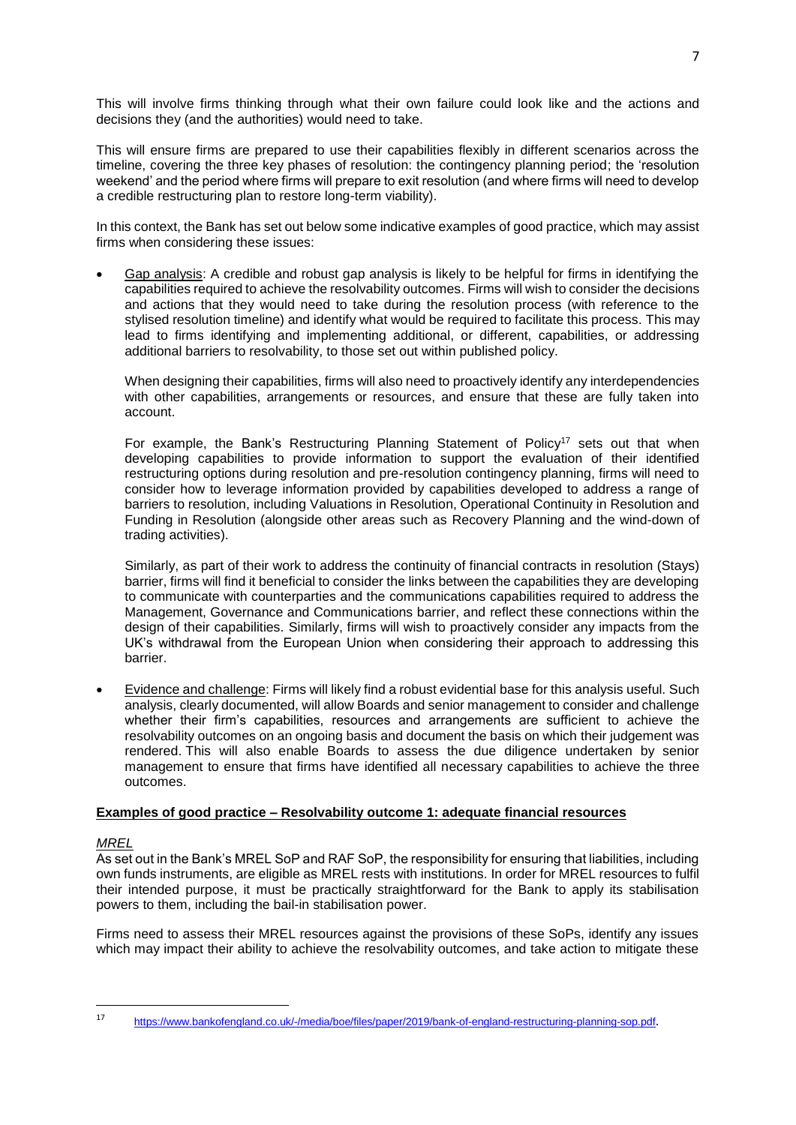This will involve firms thinking through what their own failure could look like and the actions and decisions they (and the authorities) would need to take.

This will ensure firms are prepared to use their capabilities flexibly in different scenarios across the timeline, covering the three key phases of resolution: the contingency planning period; the 'resolution weekend' and the period where firms will prepare to exit resolution (and where firms will need to develop a credible restructuring plan to restore long-term viability).

In this context, the Bank has set out below some indicative examples of good practice, which may assist firms when considering these issues:

 Gap analysis: A credible and robust gap analysis is likely to be helpful for firms in identifying the capabilities required to achieve the resolvability outcomes. Firms will wish to consider the decisions and actions that they would need to take during the resolution process (with reference to the stylised resolution timeline) and identify what would be required to facilitate this process. This may lead to firms identifying and implementing additional, or different, capabilities, or addressing additional barriers to resolvability, to those set out within published policy.

When designing their capabilities, firms will also need to proactively identify any interdependencies with other capabilities, arrangements or resources, and ensure that these are fully taken into account.

For example, the Bank's Restructuring Planning Statement of Policy<sup>17</sup> sets out that when developing capabilities to provide information to support the evaluation of their identified restructuring options during resolution and pre-resolution contingency planning, firms will need to consider how to leverage information provided by capabilities developed to address a range of barriers to resolution, including Valuations in Resolution, Operational Continuity in Resolution and Funding in Resolution (alongside other areas such as Recovery Planning and the wind-down of trading activities).

Similarly, as part of their work to address the continuity of financial contracts in resolution (Stays) barrier, firms will find it beneficial to consider the links between the capabilities they are developing to communicate with counterparties and the communications capabilities required to address the Management, Governance and Communications barrier, and reflect these connections within the design of their capabilities. Similarly, firms will wish to proactively consider any impacts from the UK's withdrawal from the European Union when considering their approach to addressing this barrier.

 Evidence and challenge: Firms will likely find a robust evidential base for this analysis useful. Such analysis, clearly documented, will allow Boards and senior management to consider and challenge whether their firm's capabilities, resources and arrangements are sufficient to achieve the resolvability outcomes on an ongoing basis and document the basis on which their judgement was rendered. This will also enable Boards to assess the due diligence undertaken by senior management to ensure that firms have identified all necessary capabilities to achieve the three outcomes.

## **Examples of good practice – Resolvability outcome 1: adequate financial resources**

### *MREL*

**.** 

As set out in the Bank's MREL SoP and RAF SoP, the responsibility for ensuring that liabilities, including own funds instruments, are eligible as MREL rests with institutions. In order for MREL resources to fulfil their intended purpose, it must be practically straightforward for the Bank to apply its stabilisation powers to them, including the bail-in stabilisation power.

Firms need to assess their MREL resources against the provisions of these SoPs, identify any issues which may impact their ability to achieve the resolvability outcomes, and take action to mitigate these

<sup>17</sup> <https://www.bankofengland.co.uk/-/media/boe/files/paper/2019/bank-of-england-restructuring-planning-sop.pdf>.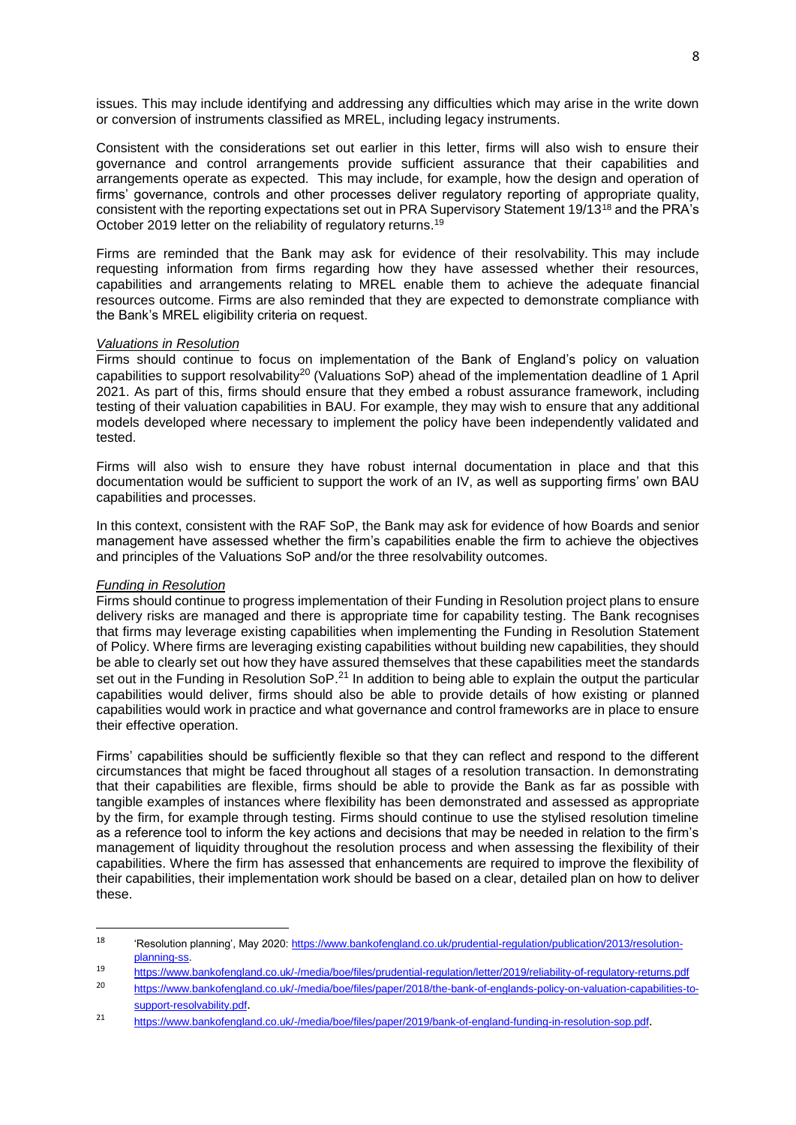issues. This may include identifying and addressing any difficulties which may arise in the write down or conversion of instruments classified as MREL, including legacy instruments.

Consistent with the considerations set out earlier in this letter, firms will also wish to ensure their governance and control arrangements provide sufficient assurance that their capabilities and arrangements operate as expected. This may include, for example, how the design and operation of firms' governance, controls and other processes deliver regulatory reporting of appropriate quality, consistent with the reporting expectations set out in PRA Supervisory Statement 19/13<sup>18</sup> and the PRA's October 2019 letter on the reliability of regulatory returns. 19

Firms are reminded that the Bank may ask for evidence of their resolvability. This may include requesting information from firms regarding how they have assessed whether their resources, capabilities and arrangements relating to MREL enable them to achieve the adequate financial resources outcome. Firms are also reminded that they are expected to demonstrate compliance with the Bank's MREL eligibility criteria on request.

#### *Valuations in Resolution*

Firms should continue to focus on implementation of the Bank of England's policy on valuation capabilities to support resolvability<sup>20</sup> (Valuations SoP) ahead of the implementation deadline of 1 April 2021. As part of this, firms should ensure that they embed a robust assurance framework, including testing of their valuation capabilities in BAU. For example, they may wish to ensure that any additional models developed where necessary to implement the policy have been independently validated and tested.

Firms will also wish to ensure they have robust internal documentation in place and that this documentation would be sufficient to support the work of an IV, as well as supporting firms' own BAU capabilities and processes.

In this context, consistent with the RAF SoP, the Bank may ask for evidence of how Boards and senior management have assessed whether the firm's capabilities enable the firm to achieve the objectives and principles of the Valuations SoP and/or the three resolvability outcomes.

#### *Funding in Resolution*

 $\overline{\phantom{a}}$ 

Firms should continue to progress implementation of their Funding in Resolution project plans to ensure delivery risks are managed and there is appropriate time for capability testing. The Bank recognises that firms may leverage existing capabilities when implementing the Funding in Resolution Statement of Policy. Where firms are leveraging existing capabilities without building new capabilities, they should be able to clearly set out how they have assured themselves that these capabilities meet the standards set out in the Funding in Resolution SoP.<sup>21</sup> In addition to being able to explain the output the particular capabilities would deliver, firms should also be able to provide details of how existing or planned capabilities would work in practice and what governance and control frameworks are in place to ensure their effective operation.

Firms' capabilities should be sufficiently flexible so that they can reflect and respond to the different circumstances that might be faced throughout all stages of a resolution transaction. In demonstrating that their capabilities are flexible, firms should be able to provide the Bank as far as possible with tangible examples of instances where flexibility has been demonstrated and assessed as appropriate by the firm, for example through testing. Firms should continue to use the stylised resolution timeline as a reference tool to inform the key actions and decisions that may be needed in relation to the firm's management of liquidity throughout the resolution process and when assessing the flexibility of their capabilities. Where the firm has assessed that enhancements are required to improve the flexibility of their capabilities, their implementation work should be based on a clear, detailed plan on how to deliver these.

<sup>18</sup> 'Resolution planning', May 2020: [https://www.bankofengland.co.uk/prudential-regulation/publication/2013/resolution](https://www.bankofengland.co.uk/prudential-regulation/publication/2013/resolution-planning-ss)[planning-ss.](https://www.bankofengland.co.uk/prudential-regulation/publication/2013/resolution-planning-ss)

<sup>19</sup> <https://www.bankofengland.co.uk/-/media/boe/files/prudential-regulation/letter/2019/reliability-of-regulatory-returns.pdf>

<sup>20</sup> [https://www.bankofengland.co.uk/-/media/boe/files/paper/2018/the-bank-of-englands-policy-on-valuation-capabilities-to](https://www.bankofengland.co.uk/-/media/boe/files/paper/2018/the-bank-of-englands-policy-on-valuation-capabilities-to-support-resolvability.pdf)[support-resolvability.pdf](https://www.bankofengland.co.uk/-/media/boe/files/paper/2018/the-bank-of-englands-policy-on-valuation-capabilities-to-support-resolvability.pdf).

<sup>21</sup> <https://www.bankofengland.co.uk/-/media/boe/files/paper/2019/bank-of-england-funding-in-resolution-sop.pdf>.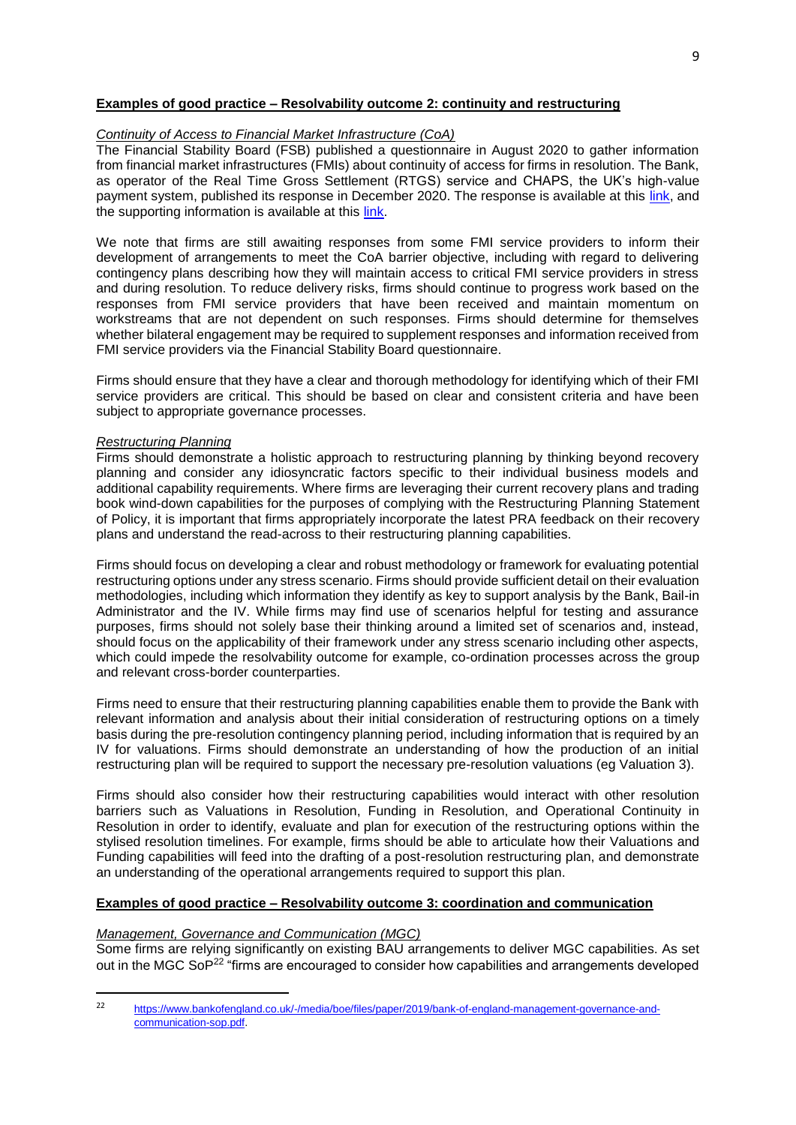## **Examples of good practice – Resolvability outcome 2: continuity and restructuring**

## *Continuity of Access to Financial Market Infrastructure (CoA)*

The Financial Stability Board (FSB) published a questionnaire in August 2020 to gather information from financial market infrastructures (FMIs) about continuity of access for firms in resolution. The Bank, as operator of the Real Time Gross Settlement (RTGS) service and CHAPS, the UK's high-value payment system, published its response in December 2020. The response is available at this [link,](https://www.bankofengland.co.uk/-/media/boe/files/payments/continuity-of-access-rtgs-chaps.pdf) and the supporting information is available at this [link.](https://www.bankofengland.co.uk/-/media/boe/files/payments/continuity-of-access-supporting-info.pdf)

We note that firms are still awaiting responses from some FMI service providers to inform their development of arrangements to meet the CoA barrier objective, including with regard to delivering contingency plans describing how they will maintain access to critical FMI service providers in stress and during resolution. To reduce delivery risks, firms should continue to progress work based on the responses from FMI service providers that have been received and maintain momentum on workstreams that are not dependent on such responses. Firms should determine for themselves whether bilateral engagement may be required to supplement responses and information received from FMI service providers via the Financial Stability Board questionnaire.

Firms should ensure that they have a clear and thorough methodology for identifying which of their FMI service providers are critical. This should be based on clear and consistent criteria and have been subject to appropriate governance processes.

### *Restructuring Planning*

Firms should demonstrate a holistic approach to restructuring planning by thinking beyond recovery planning and consider any idiosyncratic factors specific to their individual business models and additional capability requirements. Where firms are leveraging their current recovery plans and trading book wind-down capabilities for the purposes of complying with the Restructuring Planning Statement of Policy, it is important that firms appropriately incorporate the latest PRA feedback on their recovery plans and understand the read-across to their restructuring planning capabilities.

Firms should focus on developing a clear and robust methodology or framework for evaluating potential restructuring options under any stress scenario. Firms should provide sufficient detail on their evaluation methodologies, including which information they identify as key to support analysis by the Bank, Bail-in Administrator and the IV. While firms may find use of scenarios helpful for testing and assurance purposes, firms should not solely base their thinking around a limited set of scenarios and, instead, should focus on the applicability of their framework under any stress scenario including other aspects, which could impede the resolvability outcome for example, co-ordination processes across the group and relevant cross-border counterparties.

Firms need to ensure that their restructuring planning capabilities enable them to provide the Bank with relevant information and analysis about their initial consideration of restructuring options on a timely basis during the pre-resolution contingency planning period, including information that is required by an IV for valuations. Firms should demonstrate an understanding of how the production of an initial restructuring plan will be required to support the necessary pre-resolution valuations (eg Valuation 3).

Firms should also consider how their restructuring capabilities would interact with other resolution barriers such as Valuations in Resolution, Funding in Resolution, and Operational Continuity in Resolution in order to identify, evaluate and plan for execution of the restructuring options within the stylised resolution timelines. For example, firms should be able to articulate how their Valuations and Funding capabilities will feed into the drafting of a post-resolution restructuring plan, and demonstrate an understanding of the operational arrangements required to support this plan.

## **Examples of good practice – Resolvability outcome 3: coordination and communication**

### *Management, Governance and Communication (MGC)*

1

Some firms are relying significantly on existing BAU arrangements to deliver MGC capabilities. As set out in the MGC SoP<sup>22</sup> "firms are encouraged to consider how capabilities and arrangements developed

<sup>22</sup> [https://www.bankofengland.co.uk/-/media/boe/files/paper/2019/bank-of-england-management-governance-and](https://www.bankofengland.co.uk/-/media/boe/files/paper/2019/bank-of-england-management-governance-and-communication-sop.pdf)[communication-sop.pdf.](https://www.bankofengland.co.uk/-/media/boe/files/paper/2019/bank-of-england-management-governance-and-communication-sop.pdf)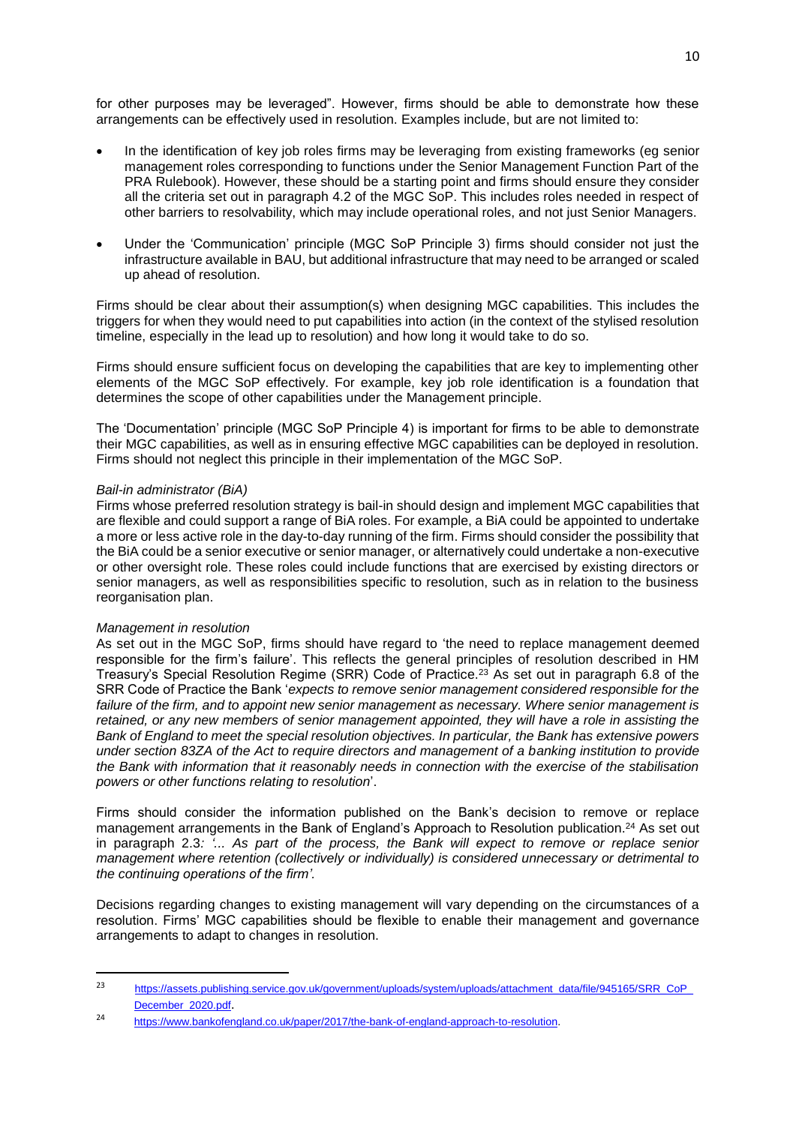for other purposes may be leveraged". However, firms should be able to demonstrate how these arrangements can be effectively used in resolution. Examples include, but are not limited to:

- In the identification of key job roles firms may be leveraging from existing frameworks (eg senior management roles corresponding to functions under the Senior Management Function Part of the PRA Rulebook). However, these should be a starting point and firms should ensure they consider all the criteria set out in paragraph 4.2 of the MGC SoP. This includes roles needed in respect of other barriers to resolvability, which may include operational roles, and not just Senior Managers.
- Under the 'Communication' principle (MGC SoP Principle 3) firms should consider not just the infrastructure available in BAU, but additional infrastructure that may need to be arranged or scaled up ahead of resolution.

Firms should be clear about their assumption(s) when designing MGC capabilities. This includes the triggers for when they would need to put capabilities into action (in the context of the stylised resolution timeline, especially in the lead up to resolution) and how long it would take to do so.

Firms should ensure sufficient focus on developing the capabilities that are key to implementing other elements of the MGC SoP effectively. For example, key job role identification is a foundation that determines the scope of other capabilities under the Management principle.

The 'Documentation' principle (MGC SoP Principle 4) is important for firms to be able to demonstrate their MGC capabilities, as well as in ensuring effective MGC capabilities can be deployed in resolution. Firms should not neglect this principle in their implementation of the MGC SoP.

### *Bail-in administrator (BiA)*

Firms whose preferred resolution strategy is bail-in should design and implement MGC capabilities that are flexible and could support a range of BiA roles. For example, a BiA could be appointed to undertake a more or less active role in the day-to-day running of the firm. Firms should consider the possibility that the BiA could be a senior executive or senior manager, or alternatively could undertake a non-executive or other oversight role. These roles could include functions that are exercised by existing directors or senior managers, as well as responsibilities specific to resolution, such as in relation to the business reorganisation plan.

### *Management in resolution*

**.** 

As set out in the MGC SoP, firms should have regard to 'the need to replace management deemed responsible for the firm's failure'. This reflects the general principles of resolution described in HM Treasury's Special Resolution Regime (SRR) Code of Practice.<sup>23</sup> As set out in paragraph 6.8 of the SRR Code of Practice the Bank '*expects to remove senior management considered responsible for the failure of the firm, and to appoint new senior management as necessary. Where senior management is retained, or any new members of senior management appointed, they will have a role in assisting the Bank of England to meet the special resolution objectives. In particular, the Bank has extensive powers under section 83ZA of the Act to require directors and management of a banking institution to provide the Bank with information that it reasonably needs in connection with the exercise of the stabilisation powers or other functions relating to resolution*'.

Firms should consider the information published on the Bank's decision to remove or replace management arrangements in the Bank of England's Approach to Resolution publication.<sup>24</sup> As set out in paragraph 2.3*: '... As part of the process, the Bank will expect to remove or replace senior management where retention (collectively or individually) is considered unnecessary or detrimental to the continuing operations of the firm'.*

Decisions regarding changes to existing management will vary depending on the circumstances of a resolution. Firms' MGC capabilities should be flexible to enable their management and governance arrangements to adapt to changes in resolution.

 $2<sub>2</sub>$ [https://assets.publishing.service.gov.uk/government/uploads/system/uploads/attachment\\_data/file/945165/SRR\\_CoP\\_](https://assets.publishing.service.gov.uk/government/uploads/system/uploads/attachment_data/file/945165/SRR_CoP_December_2020.pdf) [December\\_2020.pdf](https://assets.publishing.service.gov.uk/government/uploads/system/uploads/attachment_data/file/945165/SRR_CoP_December_2020.pdf).

<sup>24</sup> [https://www.bankofengland.co.uk/paper/2017/the-bank-of-england-approach-to-resolution.](https://www.bankofengland.co.uk/paper/2017/the-bank-of-england-approach-to-resolution)